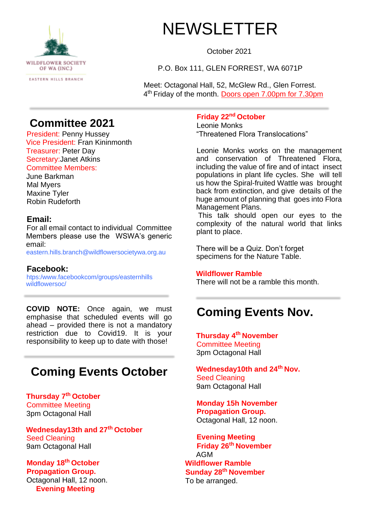

# NEWSLETTER

October 2021

P.O. Box 111, GLEN FORREST, WA 6071P

Meet: Octagonal Hall, 52, McGlew Rd., Glen Forrest. 4<sup>th</sup> Friday of the month. Doors open 7.00pm for 7.30pm

### **Committee 2021**

President: Penny Hussey Vice President: Fran Kininmonth Treasurer: Peter Day Secretary:Janet Atkins Committee Members:

June Barkman Mal Myers Maxine Tyler Robin Rudeforth

#### **Email:**

For all email contact to individual Committee Members please use the WSWA's generic email:

eastern.hills.branch@wildflowersocietywa.org.au

**Facebook:**  htps:/www.facebookcom/groups/easternhills wildflowersoc/

**COVID NOTE:** Once again, we must emphasise that scheduled events will go ahead – provided there is not a mandatory restriction due to Covid19. It is your responsibility to keep up to date with those!

### **Coming Events October**

**Thursday 7th October**  Committee Meeting 3pm Octagonal Hall

**Wednesday13th and 27th October**  Seed Cleaning 9am Octagonal Hall

**Monday 18th October Propagation Group.**  Octagonal Hall, 12 noon. **Evening Meeting** 

#### **Friday 22nd October**

Leonie Monks "Threatened Flora Translocations"

Leonie Monks works on the management and conservation of Threatened Flora, including the value of fire and of intact insect populations in plant life cycles. She will tell us how the Spiral-fruited Wattle was brought back from extinction, and give details of the huge amount of planning that goes into Flora Management Plans.

This talk should open our eyes to the complexity of the natural world that links plant to place.

There will be a Quiz. Don't forget specimens for the Nature Table.

#### **Wildflower Ramble**

There will not be a ramble this month.

### **Coming Events Nov.**

**Thursday 4th November**  Committee Meeting 3pm Octagonal Hall

**Wednesday10th and 24th Nov.**  Seed Cleaning 9am Octagonal Hall

**Monday 15h November Propagation Group.**  Octagonal Hall, 12 noon.

**Evening Meeting Friday 26th November**  AGM **Wildflower Ramble Sunday 28th November**  To be arranged.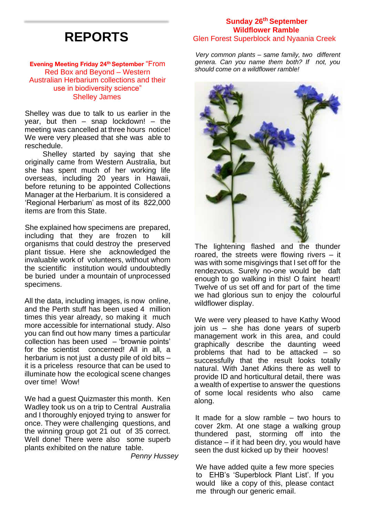# **REPORTS**

**Evening Meeting Friday 24th September** "From Red Box and Beyond – Western Australian Herbarium collections and their use in biodiversity science" Shelley James

Shelley was due to talk to us earlier in the year, but then  $-$  snap lockdown!  $-$  the meeting was cancelled at three hours notice! We were very pleased that she was able to reschedule.

Shelley started by saying that she originally came from Western Australia, but she has spent much of her working life overseas, including 20 years in Hawaii, before retuning to be appointed Collections Manager at the Herbarium. It is considered a 'Regional Herbarium' as most of its 822,000 items are from this State.

She explained how specimens are prepared, including that they are frozen to kill organisms that could destroy the preserved plant tissue. Here she acknowledged the invaluable work of volunteers, without whom the scientific institution would undoubtedly be buried under a mountain of unprocessed specimens.

All the data, including images, is now online, and the Perth stuff has been used 4 million times this year already, so making it much more accessible for international study. Also you can find out how many times a particular collection has been used – 'brownie points' for the scientist concerned! All in all, a herbarium is not just a dusty pile of old bits it is a priceless resource that can be used to illuminate how the ecological scene changes over time! Wow!

We had a guest Quizmaster this month. Ken Wadley took us on a trip to Central Australia and I thoroughly enjoyed trying to answer for once. They were challenging questions, and the winning group got 21 out of 35 correct. Well done! There were also some superb plants exhibited on the nature table.

*Penny Hussey* 

#### **Sunday 26th September Wildflower Ramble**  Glen Forest Superblock and Nyaania Creek

*Very common plants – same family, two different genera. Can you name them both? If not, you should come on a wildflower ramble!* 



The lightening flashed and the thunder roared, the streets were flowing rivers – it was with some misgivings that I set off for the rendezvous. Surely no-one would be daft enough to go walking in this! O faint heart! Twelve of us set off and for part of the time we had glorious sun to enjoy the colourful wildflower display.

We were very pleased to have Kathy Wood join us – she has done years of superb management work in this area, and could graphically describe the daunting weed problems that had to be attacked – so successfully that the result looks totally natural. With Janet Atkins there as well to provide ID and horticultural detail, there was a wealth of expertise to answer the questions of some local residents who also came along.

It made for a slow ramble – two hours to cover 2km. At one stage a walking group thundered past, storming off into the distance – if it had been dry, you would have seen the dust kicked up by their hooves!

We have added quite a few more species to EHB's 'Superblock Plant List'. If you would like a copy of this, please contact me through our generic email.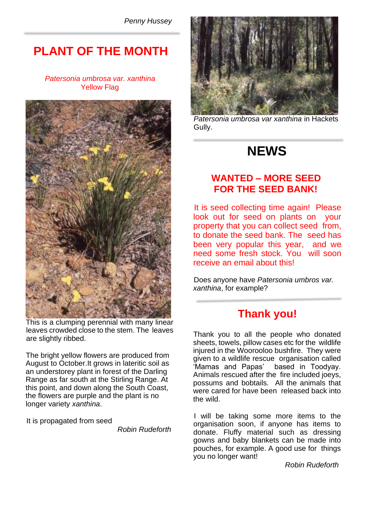*Penny Hussey* 

### **PLANT OF THE MONTH**

#### *Patersonia umbrosa var. xanthina*  Yellow Flag



This is a clumping perennial with many linear leaves crowded close to the stem. The leaves are slightly ribbed.

The bright yellow flowers are produced from August to October.It grows in lateritic soil as an understorey plant in forest of the Darling Range as far south at the Stirling Range. At this point, and down along the South Coast, the flowers are purple and the plant is no longer variety *xanthina*.

It is propagated from seed

*Robin Rudeforth* 



*Patersonia umbrosa var xanthina* in Hackets Gully.

# **NEWS**

#### **WANTED – MORE SEED FOR THE SEED BANK!**

It is seed collecting time again! Please look out for seed on plants on your property that you can collect seed from, to donate the seed bank. The seed has been very popular this year, and we need some fresh stock. You will soon receive an email about this!

Does anyone have *Patersonia umbros var. xanthina*, for example?

### **Thank you!**

Thank you to all the people who donated sheets, towels, pillow cases etc for the wildlife injured in the Woorooloo bushfire. They were given to a wildlife rescue organisation called 'Mamas and Papas' based in Toodyay. Animals rescued after the fire included joeys, possums and bobtails. All the animals that were cared for have been released back into the wild.

I will be taking some more items to the organisation soon, if anyone has items to donate. Fluffy material such as dressing gowns and baby blankets can be made into pouches, for example. A good use for things you no longer want!

*Robin Rudeforth*